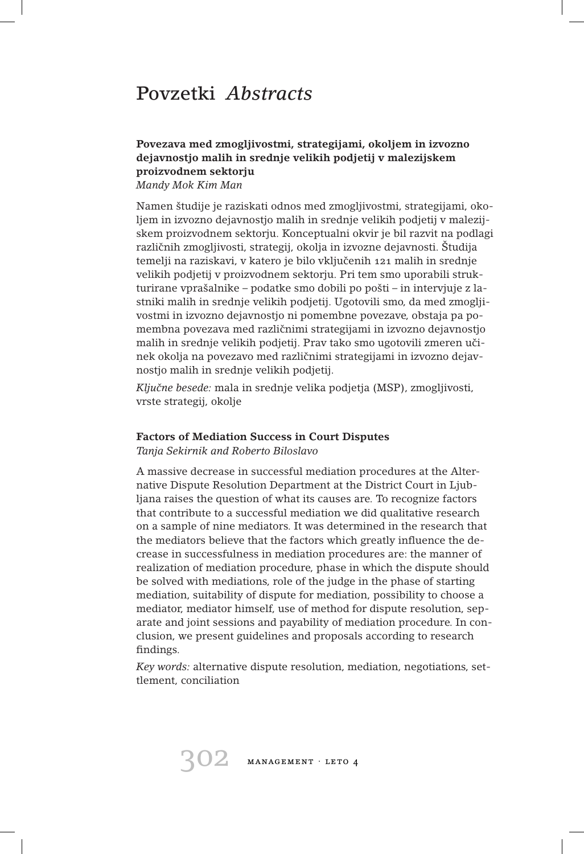# Povzetki *Abstracts*

# **Povezava med zmogljivostmi, strategijami, okoljem in izvozno dejavnostjo malih in srednje velikih podjetij v malezijskem proizvodnem sektorju**

*Mandy Mok Kim Man*

Namen študije je raziskati odnos med zmogljivostmi, strategijami, okoljem in izvozno dejavnostjo malih in srednje velikih podjetij v malezijskem proizvodnem sektorju. Konceptualni okvir je bil razvit na podlagi različnih zmogljivosti, strategij, okolja in izvozne dejavnosti. Študija temelji na raziskavi, v katero je bilo vključenih 121 malih in srednje velikih podjetij v proizvodnem sektorju. Pri tem smo uporabili strukturirane vprašalnike – podatke smo dobili po pošti – in intervjuje z lastniki malih in srednje velikih podjetij. Ugotovili smo, da med zmogljivostmi in izvozno dejavnostjo ni pomembne povezave, obstaja pa pomembna povezava med različnimi strategijami in izvozno dejavnostjo malih in srednje velikih podjetij. Prav tako smo ugotovili zmeren učinek okolja na povezavo med različnimi strategijami in izvozno dejavnostjo malih in srednje velikih podjetij.

*Kljucne besede: ˇ* mala in srednje velika podjetja (MSP), zmogljivosti, vrste strategij, okolje

### **Factors of Mediation Success in Court Disputes**

*Tanja Sekirnik and Roberto Biloslavo*

A massive decrease in successful mediation procedures at the Alternative Dispute Resolution Department at the District Court in Ljubljana raises the question of what its causes are. To recognize factors that contribute to a successful mediation we did qualitative research on a sample of nine mediators. It was determined in the research that the mediators believe that the factors which greatly influence the decrease in successfulness in mediation procedures are: the manner of realization of mediation procedure, phase in which the dispute should be solved with mediations, role of the judge in the phase of starting mediation, suitability of dispute for mediation, possibility to choose a mediator, mediator himself, use of method for dispute resolution, separate and joint sessions and payability of mediation procedure. In conclusion, we present guidelines and proposals according to research findings.

*Key words:* alternative dispute resolution, mediation, negotiations, settlement, conciliation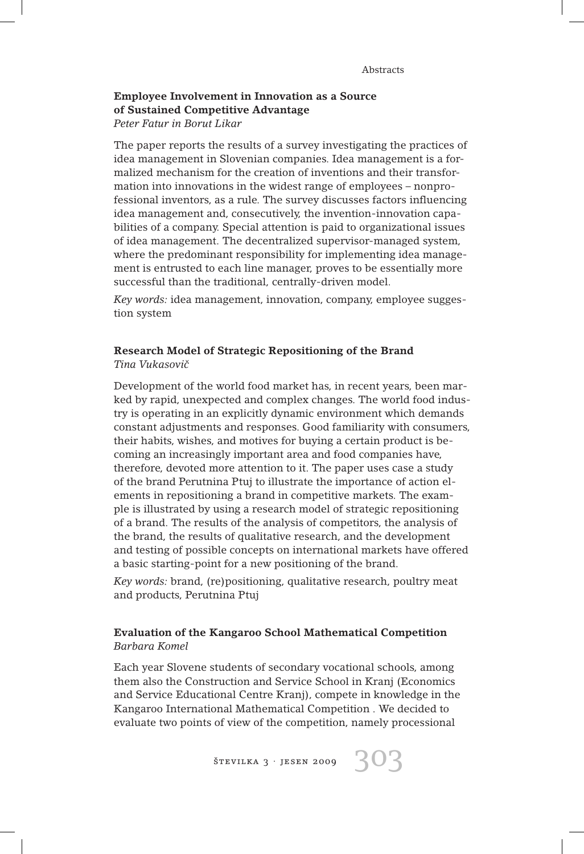## **Employee Involvement in Innovation as a Source of Sustained Competitive Advantage** *Peter Fatur in Borut Likar*

The paper reports the results of a survey investigating the practices of idea management in Slovenian companies. Idea management is a formalized mechanism for the creation of inventions and their transformation into innovations in the widest range of employees – nonprofessional inventors, as a rule. The survey discusses factors influencing idea management and, consecutively, the invention-innovation capabilities of a company. Special attention is paid to organizational issues of idea management. The decentralized supervisor-managed system, where the predominant responsibility for implementing idea management is entrusted to each line manager, proves to be essentially more successful than the traditional, centrally-driven model.

*Key words:* idea management, innovation, company, employee suggestion system

# **Research Model of Strategic Repositioning of the Brand** *Tina Vukasovicˇ*

Development of the world food market has, in recent years, been marked by rapid, unexpected and complex changes. The world food industry is operating in an explicitly dynamic environment which demands constant adjustments and responses. Good familiarity with consumers, their habits, wishes, and motives for buying a certain product is becoming an increasingly important area and food companies have, therefore, devoted more attention to it. The paper uses case a study of the brand Perutnina Ptuj to illustrate the importance of action elements in repositioning a brand in competitive markets. The example is illustrated by using a research model of strategic repositioning of a brand. The results of the analysis of competitors, the analysis of the brand, the results of qualitative research, and the development and testing of possible concepts on international markets have offered a basic starting-point for a new positioning of the brand.

*Key words:* brand, (re)positioning, qualitative research, poultry meat and products, Perutnina Ptuj

# **Evaluation of the Kangaroo School Mathematical Competition** *Barbara Komel*

Each year Slovene students of secondary vocational schools, among them also the Construction and Service School in Kranj (Economics and Service Educational Centre Kranj), compete in knowledge in the Kangaroo International Mathematical Competition . We decided to evaluate two points of view of the competition, namely processional